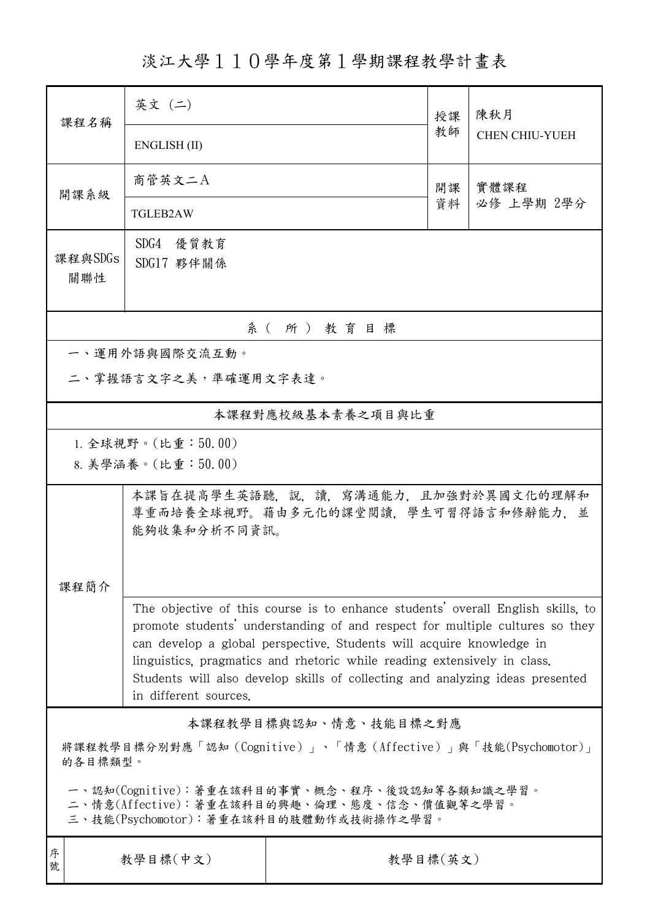淡江大學110學年度第1學期課程教學計畫表

| 課程名稱                                                                                                                                   | 英文 (二)                                                                                                                                                                                                                                                                                                                                                                                                                        |          | 授課 | 陳秋月<br><b>CHEN CHIU-YUEH</b> |  |  |  |
|----------------------------------------------------------------------------------------------------------------------------------------|-------------------------------------------------------------------------------------------------------------------------------------------------------------------------------------------------------------------------------------------------------------------------------------------------------------------------------------------------------------------------------------------------------------------------------|----------|----|------------------------------|--|--|--|
|                                                                                                                                        | ENGLISH (II)                                                                                                                                                                                                                                                                                                                                                                                                                  |          | 教師 |                              |  |  |  |
| 開課系級                                                                                                                                   | 商管英文二A                                                                                                                                                                                                                                                                                                                                                                                                                        |          | 開課 | 實體課程<br>必修 上學期 2學分           |  |  |  |
|                                                                                                                                        | <b>TGLEB2AW</b>                                                                                                                                                                                                                                                                                                                                                                                                               |          | 資料 |                              |  |  |  |
| 課程與SDGs<br>關聯性                                                                                                                         | SDG4 優質教育<br>SDG17 夥伴關係                                                                                                                                                                                                                                                                                                                                                                                                       |          |    |                              |  |  |  |
| 系(所)教育目標                                                                                                                               |                                                                                                                                                                                                                                                                                                                                                                                                                               |          |    |                              |  |  |  |
|                                                                                                                                        | 一、運用外語與國際交流互動。                                                                                                                                                                                                                                                                                                                                                                                                                |          |    |                              |  |  |  |
| 二、掌握語言文字之美,準確運用文字表達。                                                                                                                   |                                                                                                                                                                                                                                                                                                                                                                                                                               |          |    |                              |  |  |  |
| 本課程對應校級基本素養之項目與比重                                                                                                                      |                                                                                                                                                                                                                                                                                                                                                                                                                               |          |    |                              |  |  |  |
| 1. 全球視野。(比重:50.00)                                                                                                                     |                                                                                                                                                                                                                                                                                                                                                                                                                               |          |    |                              |  |  |  |
|                                                                                                                                        | 8. 美學涵養。(比重:50.00)                                                                                                                                                                                                                                                                                                                                                                                                            |          |    |                              |  |  |  |
|                                                                                                                                        | 本課旨在提高學生英語聽,說,讀,寫溝通能力,且加強對於異國文化的理解和<br>尊重而培養全球視野。藉由多元化的課堂閱讀,學生可習得語言和修辭能力,並<br>能夠收集和分析不同資訊。                                                                                                                                                                                                                                                                                                                                    |          |    |                              |  |  |  |
| 课程简介                                                                                                                                   |                                                                                                                                                                                                                                                                                                                                                                                                                               |          |    |                              |  |  |  |
|                                                                                                                                        | The objective of this course is to enhance students' overall English skills, to<br>promote students' understanding of and respect for multiple cultures so they<br>can develop a global perspective. Students will acquire knowledge in<br>linguistics, pragmatics and rhetoric while reading extensively in class.<br>Students will also develop skills of collecting and analyzing ideas presented<br>in different sources. |          |    |                              |  |  |  |
| 本課程教學目標與認知、情意、技能目標之對應                                                                                                                  |                                                                                                                                                                                                                                                                                                                                                                                                                               |          |    |                              |  |  |  |
| 將課程教學目標分別對應「認知(Cognitive)」、「情意(Affective)」與「技能(Psychomotor)」<br>的各目標類型。                                                                |                                                                                                                                                                                                                                                                                                                                                                                                                               |          |    |                              |  |  |  |
| 一、認知(Cognitive):著重在該科目的事實、概念、程序、後設認知等各類知識之學習。<br>二、情意(Affective):著重在該科目的興趣、倫理、態度、信念、價值觀等之學習。<br>三、技能(Psychomotor):著重在該科目的肢體動作或技術操作之學習。 |                                                                                                                                                                                                                                                                                                                                                                                                                               |          |    |                              |  |  |  |
| 序<br>號                                                                                                                                 | 教學目標(中文)                                                                                                                                                                                                                                                                                                                                                                                                                      | 教學目標(英文) |    |                              |  |  |  |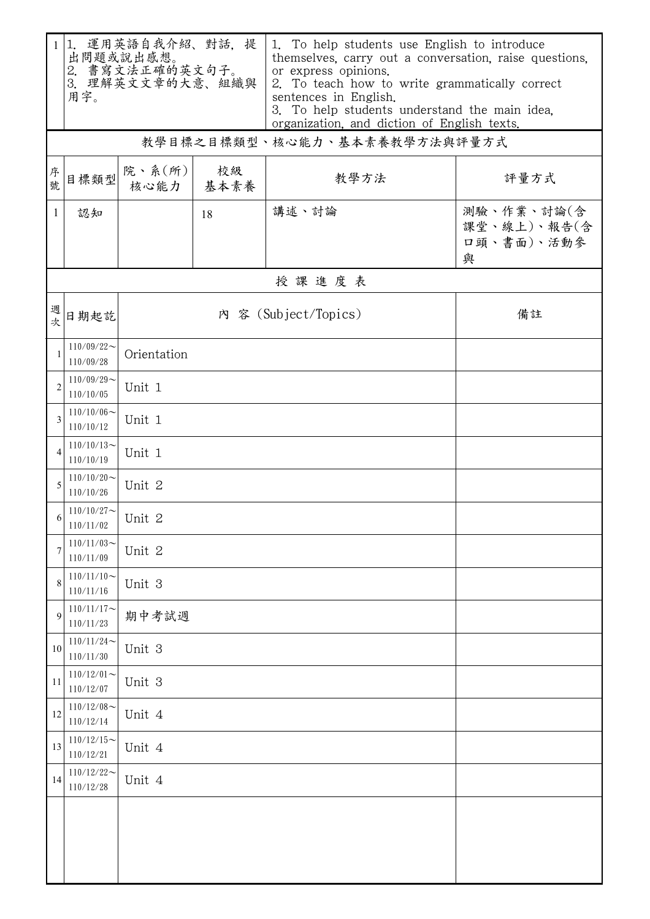| $\mathbf{1}$   | 1. 運用英語自我介紹、對話, 提<br>出問題或說出感想。<br>2. 書寫文法正確的英文句子。<br>3. 理解英文文章的大意、組織與<br>用字。 |                                               |                            | 1. To help students use English to introduce<br>themselves, carry out a conversation, raise questions,<br>or express opinions.<br>2. To teach how to write grammatically correct<br>sentences in English.<br>3. To help students understand the main idea.<br>organization, and diction of English texts. |                                              |  |  |  |  |
|----------------|------------------------------------------------------------------------------|-----------------------------------------------|----------------------------|-----------------------------------------------------------------------------------------------------------------------------------------------------------------------------------------------------------------------------------------------------------------------------------------------------------|----------------------------------------------|--|--|--|--|
|                |                                                                              |                                               |                            | 教學目標之目標類型、核心能力、基本素養教學方法與評量方式                                                                                                                                                                                                                                                                              |                                              |  |  |  |  |
| 序號             | 目標類型                                                                         | 院、系 $(\hbox{\ensuremath{\mathfrak{m}}})\vert$ | 校級<br>核心能力 基本素養            | 教學方法                                                                                                                                                                                                                                                                                                      | 評量方式                                         |  |  |  |  |
| $\mathbf{1}$   | 認知                                                                           |                                               | 18                         | 講述、討論                                                                                                                                                                                                                                                                                                     | 測驗、作業、討論(含<br>課堂、線上)、報告(含<br>口頭、書面)、活動參<br>與 |  |  |  |  |
|                | 授課進度表                                                                        |                                               |                            |                                                                                                                                                                                                                                                                                                           |                                              |  |  |  |  |
| 週<br>欤         | 日期起訖                                                                         |                                               | 內 容 (Subject/Topics)<br>備註 |                                                                                                                                                                                                                                                                                                           |                                              |  |  |  |  |
| $\mathbf{1}$   | $110/09/22$ ~<br>110/09/28                                                   | Orientation                                   |                            |                                                                                                                                                                                                                                                                                                           |                                              |  |  |  |  |
| $\overline{c}$ | $110/09/29$ ~<br>110/10/05                                                   | Unit 1                                        |                            |                                                                                                                                                                                                                                                                                                           |                                              |  |  |  |  |
| 3              | $110/10/06 \sim$<br>110/10/12                                                | Unit 1                                        |                            |                                                                                                                                                                                                                                                                                                           |                                              |  |  |  |  |
| 4              | $110/10/13$ ~<br>110/10/19                                                   | Unit 1                                        |                            |                                                                                                                                                                                                                                                                                                           |                                              |  |  |  |  |
| 5              | $110/10/20$ ~<br>110/10/26                                                   | Unit 2                                        |                            |                                                                                                                                                                                                                                                                                                           |                                              |  |  |  |  |
|                | $110/10/27$ ~<br>110/11/02                                                   | Unit 2                                        |                            |                                                                                                                                                                                                                                                                                                           |                                              |  |  |  |  |
| 7              | $110/11/03$ ~<br>110/11/09                                                   | Unit 2                                        |                            |                                                                                                                                                                                                                                                                                                           |                                              |  |  |  |  |
| 8              | $110/11/10$ ~<br>110/11/16                                                   | Unit 3                                        |                            |                                                                                                                                                                                                                                                                                                           |                                              |  |  |  |  |
| 9              | $110/11/17$ ~<br>110/11/23                                                   | 期中考試週                                         |                            |                                                                                                                                                                                                                                                                                                           |                                              |  |  |  |  |
| 10             | $110/11/24$ ~<br>110/11/30                                                   | Unit 3                                        |                            |                                                                                                                                                                                                                                                                                                           |                                              |  |  |  |  |
| 11             | $110/12/01$ ~<br>110/12/07                                                   | Unit 3                                        |                            |                                                                                                                                                                                                                                                                                                           |                                              |  |  |  |  |
| 12             | $110/12/08$ ~<br>110/12/14                                                   | Unit 4                                        |                            |                                                                                                                                                                                                                                                                                                           |                                              |  |  |  |  |
| 13             | $110/12/15$ ~<br>110/12/21                                                   | Unit 4                                        |                            |                                                                                                                                                                                                                                                                                                           |                                              |  |  |  |  |
| 14             | $110/12/22$ ~<br>110/12/28                                                   | Unit 4                                        |                            |                                                                                                                                                                                                                                                                                                           |                                              |  |  |  |  |
|                |                                                                              |                                               |                            |                                                                                                                                                                                                                                                                                                           |                                              |  |  |  |  |